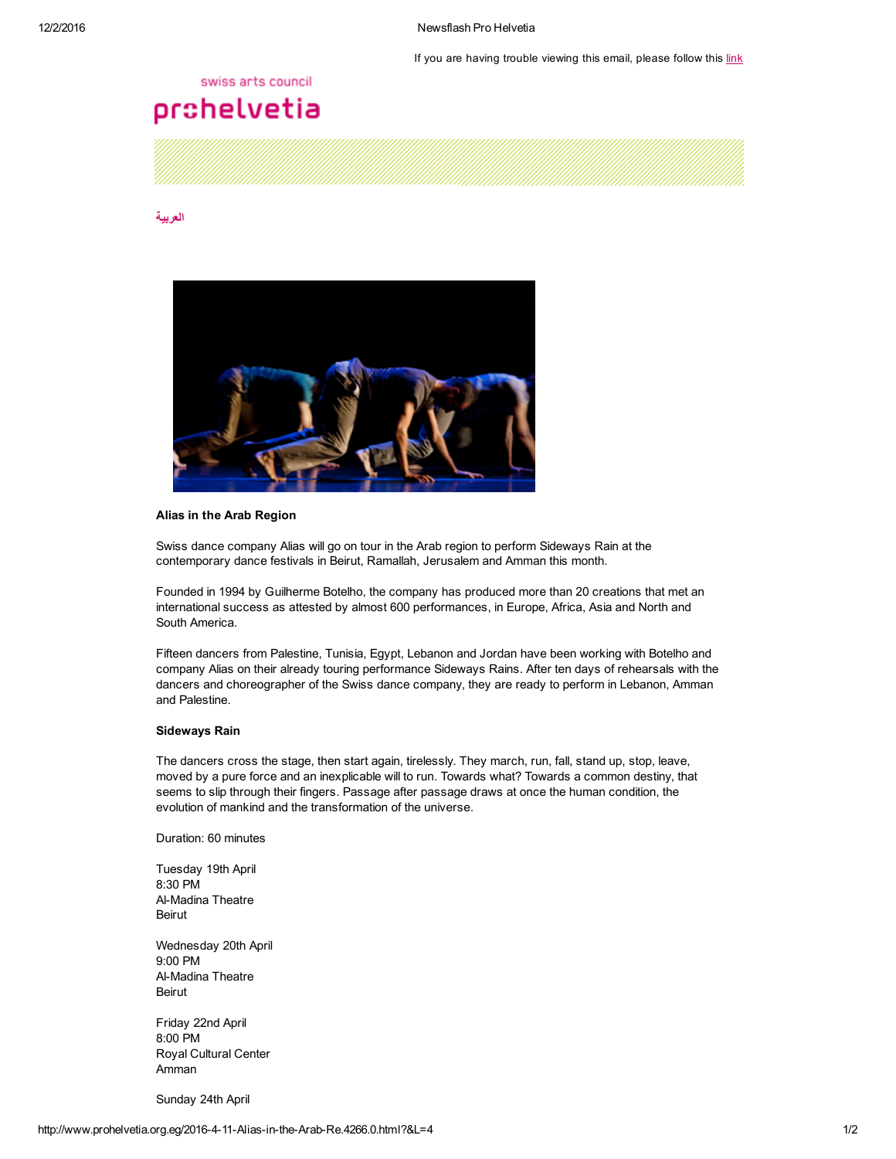If you are having trouble viewing this email, please follow this [link](http://www.prohelvetia.org.eg/4266.0.html?&showInBrowserView=1)

#### swiss arts council

# prohelvetia

### [العربية](http://www.prohelvetia.org.eg/4265.0.html)



## Alias in the Arab Region

Swiss dance company Alias will go on tour in the Arab region to perform Sideways Rain at the contemporary dance festivals in Beirut, Ramallah, Jerusalem and Amman this month.

Founded in 1994 by Guilherme Botelho, the company has produced more than 20 creations that met an international success as attested by almost 600 performances, in Europe, Africa, Asia and North and South America.

Fifteen dancers from Palestine, Tunisia, Egypt, Lebanon and Jordan have been working with Botelho and company Alias on their already touring performance Sideways Rains. After ten days of rehearsals with the dancers and choreographer of the Swiss dance company, they are ready to perform in Lebanon, Amman and Palestine.

### Sideways Rain

The dancers cross the stage, then start again, tirelessly. They march, run, fall, stand up, stop, leave, moved by a pure force and an inexplicable will to run. Towards what? Towards a common destiny, that seems to slip through their fingers. Passage after passage draws at once the human condition, the evolution of mankind and the transformation of the universe.

Duration: 60 minutes

Tuesday 19th April 8:30 PM Al-Madina Theatre Beirut

Wednesday 20th April 9:00 PM Al-Madina Theatre Beirut

Friday 22nd April 8:00 PM Royal Cultural Center Amman

Sunday 24th April